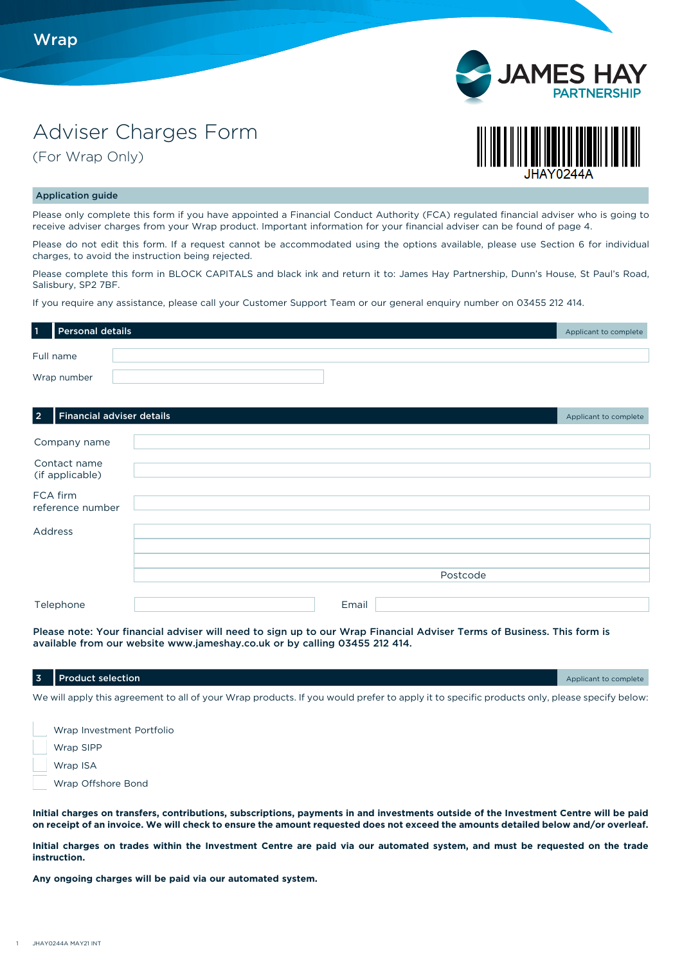

(For Wrap Only)





## Application guide

Please only complete this form if you have appointed a Financial Conduct Authority (FCA) regulated financial adviser who is going to receive adviser charges from your Wrap product. Important information for your financial adviser can be found of page 4.

Please do not edit this form. If a request cannot be accommodated using the options available, please use Section 6 for individual charges, to avoid the instruction being rejected.

Please complete this form in BLOCK CAPITALS and black ink and return it to: James Hay Partnership, Dunn's House, St Paul's Road, Salisbury, SP2 7BF.

If you require any assistance, please call your Customer Support Team or our general enquiry number on 03455 212 414.

| $\vert$ 1 | Personal details | Applicant to complete |
|-----------|------------------|-----------------------|
|           | Full name        |                       |
|           | Wrap number      |                       |

## **2 Financial adviser details** Applicant to complete the complete of the complete that the complete the complete to complete

| Company name                    |          |
|---------------------------------|----------|
| Contact name<br>(if applicable) |          |
| FCA firm<br>reference number    |          |
| Address                         |          |
|                                 |          |
|                                 |          |
|                                 | Postcode |
|                                 |          |
| Telephone                       | Email    |

Please note: Your financial adviser will need to sign up to our Wrap Financial Adviser Terms of Business. This form is available from our website www.jameshay.co.uk or by calling 03455 212 414.

| 3 Product selection                                                                                                                         | Applicant to complete |
|---------------------------------------------------------------------------------------------------------------------------------------------|-----------------------|
| We will apply this agreement to all of your Wrap products. If you would prefer to apply it to specific products only, please specify below: |                       |

 Wrap Investment Portfolio Wrap SIPP Wrap ISA Wrap Offshore Bond

**Initial charges on transfers, contributions, subscriptions, payments in and investments outside of the Investment Centre will be paid on receipt of an invoice. We will check to ensure the amount requested does not exceed the amounts detailed below and/or overleaf.** 

**Initial charges on trades within the Investment Centre are paid via our automated system, and must be requested on the trade instruction.**

**Any ongoing charges will be paid via our automated system.**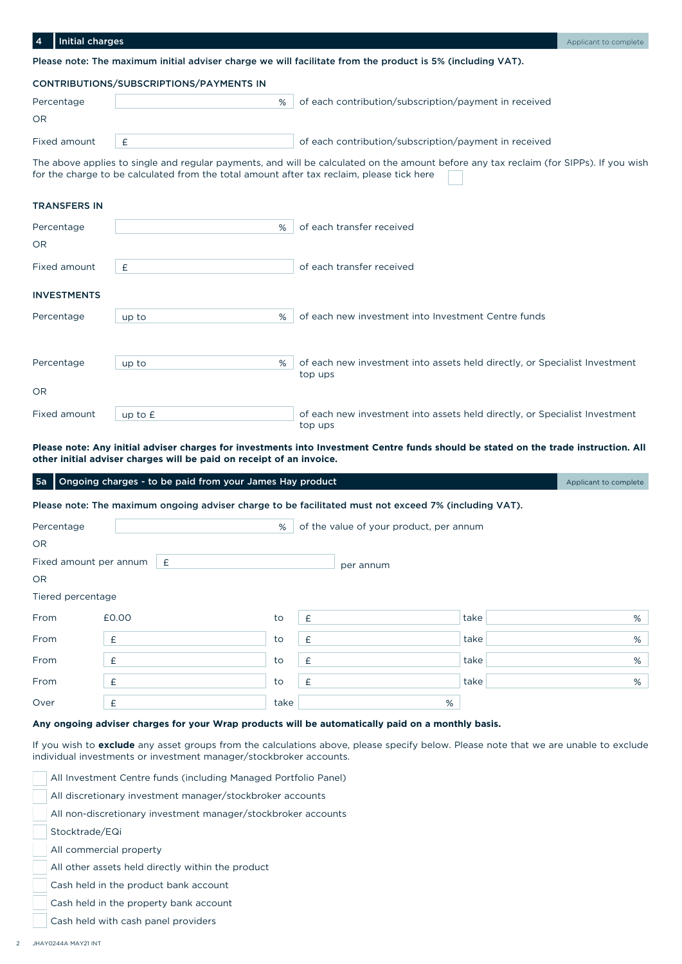| <b>Initial charges</b><br>4 |                                                                                           |                                                                                                                                        | Applicant to complete |
|-----------------------------|-------------------------------------------------------------------------------------------|----------------------------------------------------------------------------------------------------------------------------------------|-----------------------|
|                             |                                                                                           | Please note: The maximum initial adviser charge we will facilitate from the product is 5% (including VAT).                             |                       |
|                             | CONTRIBUTIONS/SUBSCRIPTIONS/PAYMENTS IN                                                   |                                                                                                                                        |                       |
| Percentage                  | %                                                                                         | of each contribution/subscription/payment in received                                                                                  |                       |
| <b>OR</b>                   |                                                                                           |                                                                                                                                        |                       |
| Fixed amount                | £                                                                                         | of each contribution/subscription/payment in received                                                                                  |                       |
|                             | for the charge to be calculated from the total amount after tax reclaim, please tick here | The above applies to single and regular payments, and will be calculated on the amount before any tax reclaim (for SIPPs). If you wish |                       |
| <b>TRANSFERS IN</b>         |                                                                                           |                                                                                                                                        |                       |
| Percentage                  | %                                                                                         | of each transfer received                                                                                                              |                       |
| <b>OR</b>                   |                                                                                           |                                                                                                                                        |                       |
| Fixed amount                | £                                                                                         | of each transfer received                                                                                                              |                       |
| <b>INVESTMENTS</b>          |                                                                                           |                                                                                                                                        |                       |
| Percentage                  | %<br>up to                                                                                | of each new investment into Investment Centre funds                                                                                    |                       |
|                             |                                                                                           |                                                                                                                                        |                       |

| Percentage   | up to     | $\%$ | of each new investment into assets held directly, or Specialist Investment<br>top ups |
|--------------|-----------|------|---------------------------------------------------------------------------------------|
| OR           |           |      |                                                                                       |
| Fixed amount | up to $E$ |      | of each new investment into assets held directly, or Specialist Investment<br>top ups |

**Please note: Any initial adviser charges for investments into Investment Centre funds should be stated on the trade instruction. All other initial adviser charges will be paid on receipt of an invoice.**

| 5a        |                        | Ongoing charges - to be paid from your James Hay product |      |                                                                                                       |      | Applicant to complete |
|-----------|------------------------|----------------------------------------------------------|------|-------------------------------------------------------------------------------------------------------|------|-----------------------|
|           |                        |                                                          |      | Please note: The maximum ongoing adviser charge to be facilitated must not exceed 7% (including VAT). |      |                       |
|           | Percentage             |                                                          | %    | of the value of your product, per annum                                                               |      |                       |
| <b>OR</b> |                        |                                                          |      |                                                                                                       |      |                       |
|           | Fixed amount per annum | -£                                                       |      | per annum                                                                                             |      |                       |
| <b>OR</b> |                        |                                                          |      |                                                                                                       |      |                       |
|           | Tiered percentage      |                                                          |      |                                                                                                       |      |                       |
| From      |                        | £0.00                                                    | to   | £                                                                                                     | take | %                     |
| From      |                        | £                                                        | to   | £                                                                                                     | take | %                     |
| From      |                        | £                                                        | to   | £                                                                                                     | take | %                     |
| From      |                        | £                                                        | to   | £                                                                                                     | take | %                     |
| Over      |                        | £                                                        | take | %                                                                                                     |      |                       |

# **Any ongoing adviser charges for your Wrap products will be automatically paid on a monthly basis.**

If you wish to **exclude** any asset groups from the calculations above, please specify below. Please note that we are unable to exclude individual investments or investment manager/stockbroker accounts.

All Investment Centre funds (including Managed Portfolio Panel)

All discretionary investment manager/stockbroker accounts

All non-discretionary investment manager/stockbroker accounts

Stocktrade/EQi

All commercial property

All other assets held directly within the product

Cash held in the product bank account

Cash held in the property bank account

Cash held with cash panel providers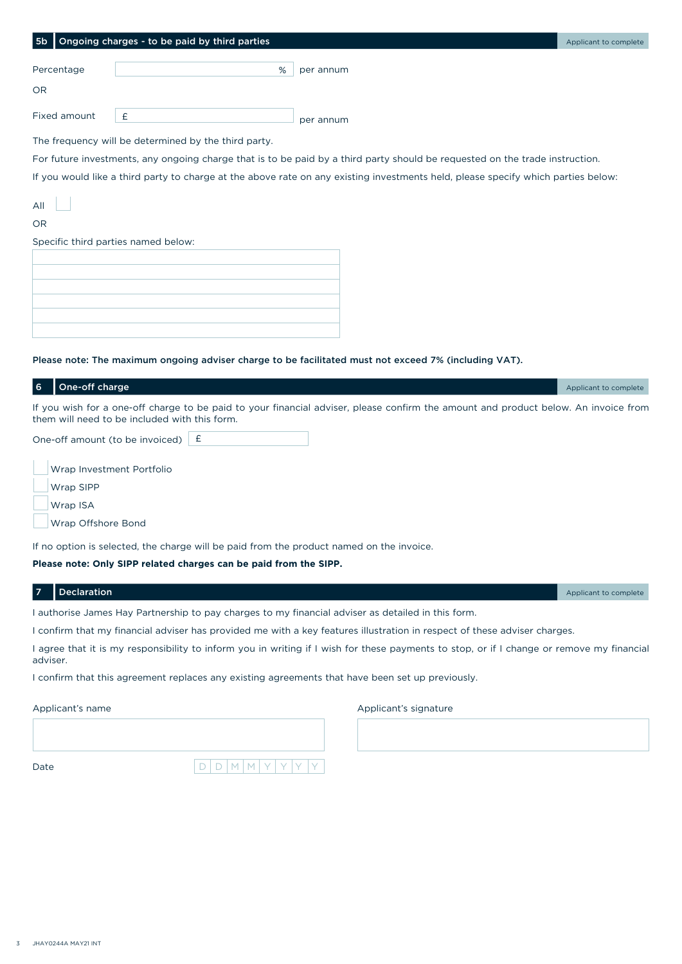| 5 <sub>b</sub> | Ongoing charges - to be paid by third parties        |                                                                                                                                   | Applicant to complete |
|----------------|------------------------------------------------------|-----------------------------------------------------------------------------------------------------------------------------------|-----------------------|
|                |                                                      |                                                                                                                                   |                       |
| Percentage     | %                                                    | per annum                                                                                                                         |                       |
|                |                                                      |                                                                                                                                   |                       |
| <b>OR</b>      |                                                      |                                                                                                                                   |                       |
|                |                                                      |                                                                                                                                   |                       |
| Fixed amount   | £                                                    | per annum                                                                                                                         |                       |
|                |                                                      |                                                                                                                                   |                       |
|                | The frequency will be determined by the third party. |                                                                                                                                   |                       |
|                |                                                      | For future investments, any ongoing charge that is to be paid by a third party should be requested on the trade instruction.      |                       |
|                |                                                      | If you would like a third party to charge at the above rate on any existing investments held, please specify which parties below: |                       |
|                |                                                      |                                                                                                                                   |                       |
| All            |                                                      |                                                                                                                                   |                       |
| <b>OR</b>      |                                                      |                                                                                                                                   |                       |
|                | Specific third parties named below:                  |                                                                                                                                   |                       |
|                |                                                      |                                                                                                                                   |                       |
|                |                                                      |                                                                                                                                   |                       |
|                |                                                      |                                                                                                                                   |                       |
|                |                                                      |                                                                                                                                   |                       |
|                |                                                      |                                                                                                                                   |                       |

#### Please note: The maximum ongoing adviser charge to be facilitated must not exceed 7% (including VAT).

| 6 | One-off charge                                |                                                                                                                                     | Applicant to complete |
|---|-----------------------------------------------|-------------------------------------------------------------------------------------------------------------------------------------|-----------------------|
|   | them will need to be included with this form. | If you wish for a one-off charge to be paid to your financial adviser, please confirm the amount and product below. An invoice from |                       |
|   | One-off amount (to be invoiced) $\mathbf{f}$  |                                                                                                                                     |                       |

Wrap Investment Portfolio

Wrap SIPP

Wrap ISA

Wrap Offshore Bond

If no option is selected, the charge will be paid from the product named on the invoice.

**Please note: Only SIPP related charges can be paid from the SIPP.**

| 7 Declaration                                                                                      | Applicant to complete |
|----------------------------------------------------------------------------------------------------|-----------------------|
| I authorise James Hay Partnership to pay charges to my financial adviser as detailed in this form. |                       |

I confirm that my financial adviser has provided me with a key features illustration in respect of these adviser charges.

I agree that it is my responsibility to inform you in writing if I wish for these payments to stop, or if I change or remove my financial adviser.

I confirm that this agreement replaces any existing agreements that have been set up previously.

Applicant's name

Applicant's signature

| Date | $\sim$ | М | М | $\check{~}$ | $\checkmark$ | v | $\checkmark$ |
|------|--------|---|---|-------------|--------------|---|--------------|